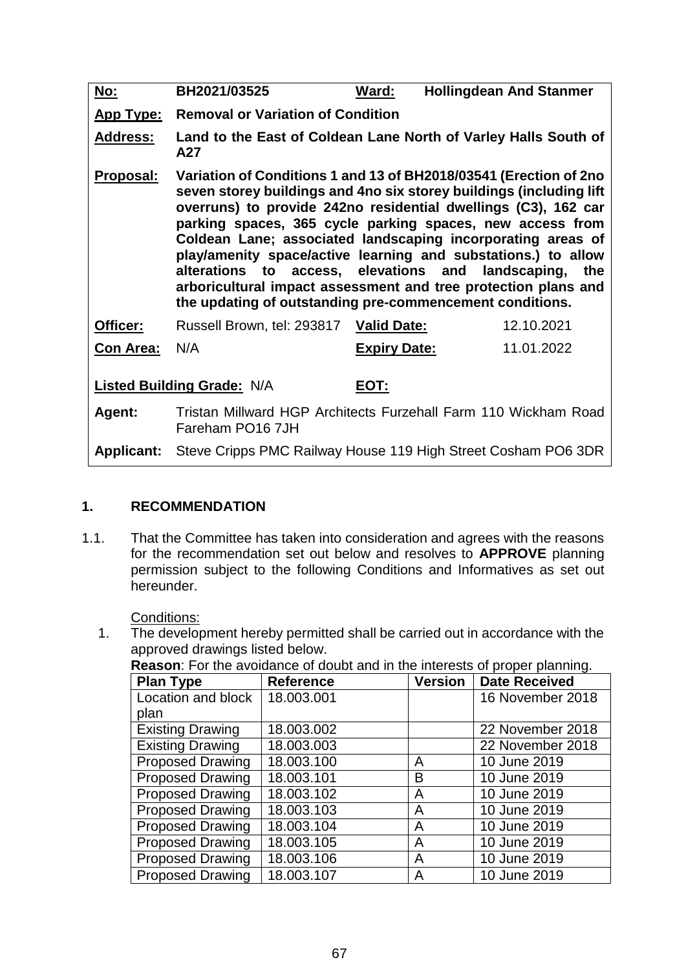| <u>No:</u>                                | BH2021/03525                                                                                                                                                                                                                                                                                                                                                                                                                                                                                                                                                                                          | Ward:                                    | <b>Hollingdean And Stanmer</b> |  |  |  |
|-------------------------------------------|-------------------------------------------------------------------------------------------------------------------------------------------------------------------------------------------------------------------------------------------------------------------------------------------------------------------------------------------------------------------------------------------------------------------------------------------------------------------------------------------------------------------------------------------------------------------------------------------------------|------------------------------------------|--------------------------------|--|--|--|
| <u>App Type:</u>                          |                                                                                                                                                                                                                                                                                                                                                                                                                                                                                                                                                                                                       | <b>Removal or Variation of Condition</b> |                                |  |  |  |
| <b>Address:</b>                           | Land to the East of Coldean Lane North of Varley Halls South of<br>A27                                                                                                                                                                                                                                                                                                                                                                                                                                                                                                                                |                                          |                                |  |  |  |
| Proposal:                                 | Variation of Conditions 1 and 13 of BH2018/03541 (Erection of 2no<br>seven storey buildings and 4no six storey buildings (including lift<br>overruns) to provide 242no residential dwellings (C3), 162 car<br>parking spaces, 365 cycle parking spaces, new access from<br>Coldean Lane; associated landscaping incorporating areas of<br>play/amenity space/active learning and substations.) to allow<br>alterations to access, elevations and<br>landscaping,<br>the<br>arboricultural impact assessment and tree protection plans and<br>the updating of outstanding pre-commencement conditions. |                                          |                                |  |  |  |
| Officer:                                  | Russell Brown, tel: 293817                                                                                                                                                                                                                                                                                                                                                                                                                                                                                                                                                                            | <b>Valid Date:</b>                       | 12.10.2021                     |  |  |  |
| <b>Con Area:</b>                          | N/A                                                                                                                                                                                                                                                                                                                                                                                                                                                                                                                                                                                                   | <b>Expiry Date:</b>                      | 11.01.2022                     |  |  |  |
| <b>Listed Building Grade: N/A</b><br>EOT: |                                                                                                                                                                                                                                                                                                                                                                                                                                                                                                                                                                                                       |                                          |                                |  |  |  |
| Agent:                                    | Tristan Millward HGP Architects Furzehall Farm 110 Wickham Road<br>Fareham PO16 7JH                                                                                                                                                                                                                                                                                                                                                                                                                                                                                                                   |                                          |                                |  |  |  |
| <b>Applicant:</b>                         | Steve Cripps PMC Railway House 119 High Street Cosham PO6 3DR                                                                                                                                                                                                                                                                                                                                                                                                                                                                                                                                         |                                          |                                |  |  |  |

## **1. RECOMMENDATION**

1.1. That the Committee has taken into consideration and agrees with the reasons for the recommendation set out below and resolves to **APPROVE** planning permission subject to the following Conditions and Informatives as set out hereunder.

Conditions:

1. The development hereby permitted shall be carried out in accordance with the approved drawings listed below.

**Reason**: For the avoidance of doubt and in the interests of proper planning.

| <b>Plan Type</b>        | <b>Reference</b> | <b>Version</b> | <b>Date Received</b> |
|-------------------------|------------------|----------------|----------------------|
| Location and block      | 18.003.001       |                | 16 November 2018     |
| plan                    |                  |                |                      |
| <b>Existing Drawing</b> | 18.003.002       |                | 22 November 2018     |
| <b>Existing Drawing</b> | 18.003.003       |                | 22 November 2018     |
| <b>Proposed Drawing</b> | 18.003.100       | A              | 10 June 2019         |
| <b>Proposed Drawing</b> | 18.003.101       | в              | 10 June 2019         |
| <b>Proposed Drawing</b> | 18.003.102       | A              | 10 June 2019         |
| <b>Proposed Drawing</b> | 18.003.103       | A              | 10 June 2019         |
| <b>Proposed Drawing</b> | 18.003.104       | A              | 10 June 2019         |
| <b>Proposed Drawing</b> | 18.003.105       | A              | 10 June 2019         |
| <b>Proposed Drawing</b> | 18.003.106       | A              | 10 June 2019         |
| <b>Proposed Drawing</b> | 18.003.107       | A              | 10 June 2019         |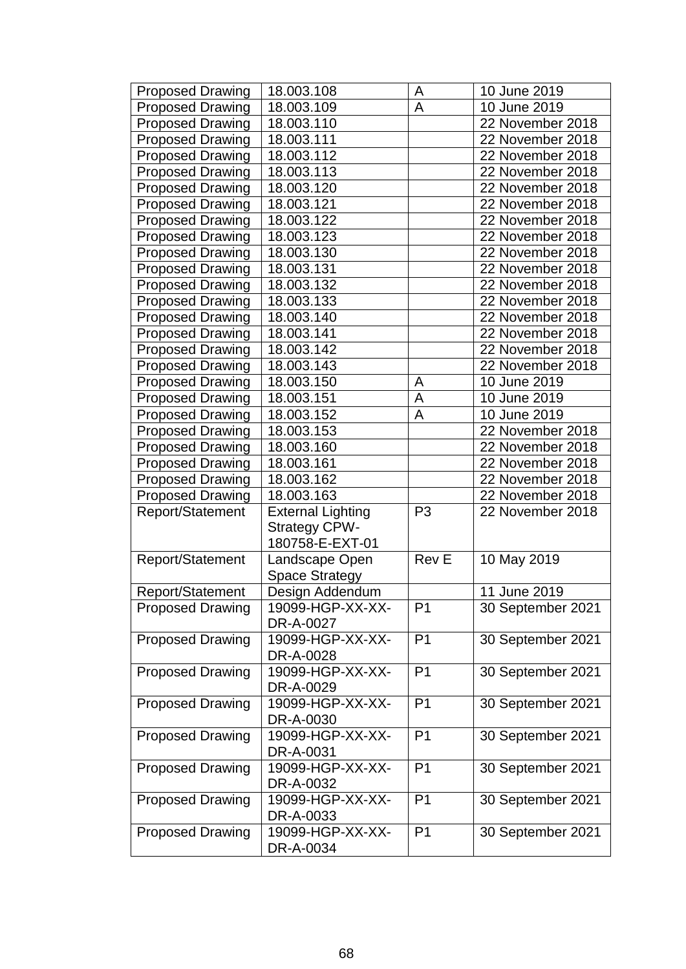| <b>Proposed Drawing</b> | 18.003.108               | A              | 10 June 2019      |
|-------------------------|--------------------------|----------------|-------------------|
| <b>Proposed Drawing</b> | 18.003.109               | A              | 10 June 2019      |
| <b>Proposed Drawing</b> | 18.003.110               |                | 22 November 2018  |
| <b>Proposed Drawing</b> | 18.003.111               |                | 22 November 2018  |
| <b>Proposed Drawing</b> | 18.003.112               |                | 22 November 2018  |
| <b>Proposed Drawing</b> | 18.003.113               |                | 22 November 2018  |
| <b>Proposed Drawing</b> | 18.003.120               |                | 22 November 2018  |
| <b>Proposed Drawing</b> | 18.003.121               |                | 22 November 2018  |
| <b>Proposed Drawing</b> | 18.003.122               |                | 22 November 2018  |
| <b>Proposed Drawing</b> | 18.003.123               |                | 22 November 2018  |
| <b>Proposed Drawing</b> | 18.003.130               |                | 22 November 2018  |
| <b>Proposed Drawing</b> | 18.003.131               |                | 22 November 2018  |
| <b>Proposed Drawing</b> | 18.003.132               |                | 22 November 2018  |
| <b>Proposed Drawing</b> | 18.003.133               |                | 22 November 2018  |
| <b>Proposed Drawing</b> | 18.003.140               |                | 22 November 2018  |
| <b>Proposed Drawing</b> | 18.003.141               |                | 22 November 2018  |
| <b>Proposed Drawing</b> | 18.003.142               |                | 22 November 2018  |
| <b>Proposed Drawing</b> | 18.003.143               |                | 22 November 2018  |
| <b>Proposed Drawing</b> | 18.003.150               | A              | 10 June 2019      |
| <b>Proposed Drawing</b> | 18.003.151               | A              | 10 June 2019      |
| <b>Proposed Drawing</b> | 18.003.152               | A              | 10 June 2019      |
| <b>Proposed Drawing</b> | 18.003.153               |                | 22 November 2018  |
| <b>Proposed Drawing</b> | 18.003.160               |                | 22 November 2018  |
| <b>Proposed Drawing</b> | 18.003.161               |                | 22 November 2018  |
| <b>Proposed Drawing</b> | 18.003.162               |                | 22 November 2018  |
| <b>Proposed Drawing</b> | 18.003.163               |                | 22 November 2018  |
| Report/Statement        | <b>External Lighting</b> | P <sub>3</sub> | 22 November 2018  |
|                         | <b>Strategy CPW-</b>     |                |                   |
|                         | 180758-E-EXT-01          |                |                   |
| Report/Statement        | Landscape Open           | <b>Rev E</b>   | 10 May 2019       |
|                         | <b>Space Strategy</b>    |                |                   |
| Report/Statement        | Design Addendum          |                | 11 June 2019      |
| <b>Proposed Drawing</b> | 19099-HGP-XX-XX-         | P <sub>1</sub> | 30 September 2021 |
|                         | DR-A-0027                |                |                   |
| <b>Proposed Drawing</b> | 19099-HGP-XX-XX-         | P <sub>1</sub> | 30 September 2021 |
|                         | DR-A-0028                |                |                   |
| <b>Proposed Drawing</b> | 19099-HGP-XX-XX-         | P <sub>1</sub> | 30 September 2021 |
|                         | DR-A-0029                |                |                   |
| <b>Proposed Drawing</b> | 19099-HGP-XX-XX-         | P <sub>1</sub> | 30 September 2021 |
|                         | DR-A-0030                |                |                   |
| <b>Proposed Drawing</b> | 19099-HGP-XX-XX-         | P <sub>1</sub> | 30 September 2021 |
|                         | DR-A-0031                |                |                   |
| <b>Proposed Drawing</b> | 19099-HGP-XX-XX-         | P <sub>1</sub> | 30 September 2021 |
|                         | DR-A-0032                |                |                   |
| <b>Proposed Drawing</b> | 19099-HGP-XX-XX-         | P <sub>1</sub> | 30 September 2021 |
|                         | DR-A-0033                |                |                   |
| <b>Proposed Drawing</b> | 19099-HGP-XX-XX-         | P <sub>1</sub> | 30 September 2021 |
|                         | DR-A-0034                |                |                   |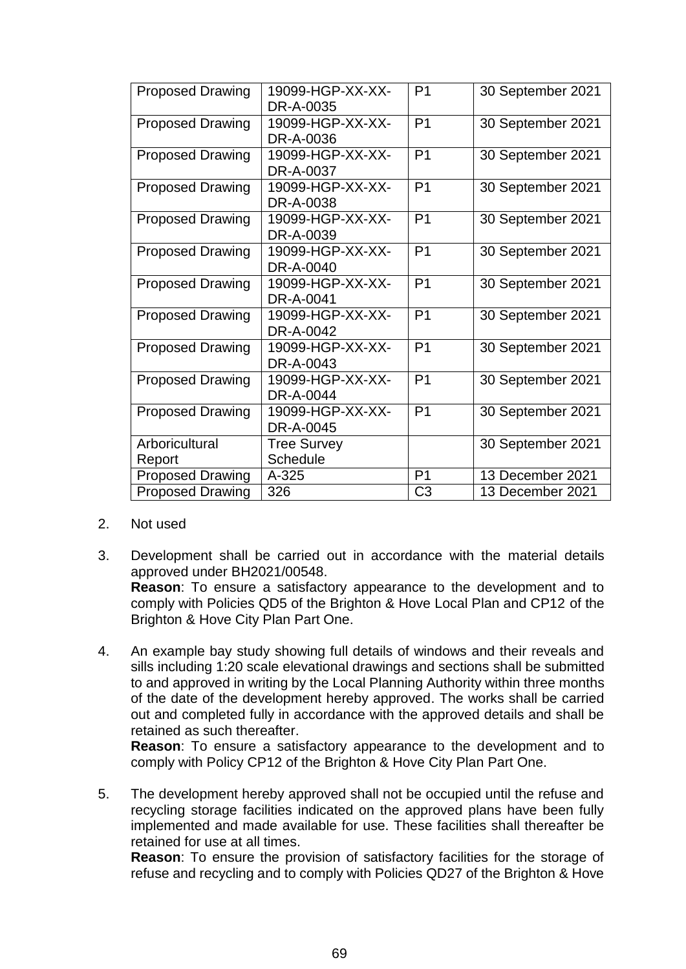| <b>Proposed Drawing</b> | 19099-HGP-XX-XX-              | P <sub>1</sub> | 30 September 2021 |
|-------------------------|-------------------------------|----------------|-------------------|
| <b>Proposed Drawing</b> | DR-A-0035<br>19099-HGP-XX-XX- | P <sub>1</sub> | 30 September 2021 |
|                         | DR-A-0036                     |                |                   |
| <b>Proposed Drawing</b> | 19099-HGP-XX-XX-              | P <sub>1</sub> | 30 September 2021 |
|                         | DR-A-0037                     |                |                   |
| <b>Proposed Drawing</b> | 19099-HGP-XX-XX-              | P <sub>1</sub> | 30 September 2021 |
|                         | DR-A-0038                     |                |                   |
| <b>Proposed Drawing</b> | 19099-HGP-XX-XX-              | P <sub>1</sub> | 30 September 2021 |
|                         | DR-A-0039                     |                |                   |
| <b>Proposed Drawing</b> | 19099-HGP-XX-XX-              | P <sub>1</sub> | 30 September 2021 |
|                         | DR-A-0040                     |                |                   |
| <b>Proposed Drawing</b> | 19099-HGP-XX-XX-              | P <sub>1</sub> | 30 September 2021 |
|                         | DR-A-0041                     |                |                   |
| <b>Proposed Drawing</b> | 19099-HGP-XX-XX-              | P <sub>1</sub> | 30 September 2021 |
|                         | DR-A-0042                     |                |                   |
| <b>Proposed Drawing</b> | 19099-HGP-XX-XX-              | P <sub>1</sub> | 30 September 2021 |
|                         | DR-A-0043                     |                |                   |
| <b>Proposed Drawing</b> | 19099-HGP-XX-XX-              | P <sub>1</sub> | 30 September 2021 |
|                         | DR-A-0044                     |                |                   |
| <b>Proposed Drawing</b> | 19099-HGP-XX-XX-              | P <sub>1</sub> | 30 September 2021 |
|                         | DR-A-0045                     |                |                   |
| Arboricultural          | <b>Tree Survey</b>            |                | 30 September 2021 |
| Report                  | <b>Schedule</b>               |                |                   |
| <b>Proposed Drawing</b> | $A - 325$                     | P <sub>1</sub> | 13 December 2021  |
| <b>Proposed Drawing</b> | 326                           | C <sub>3</sub> | 13 December 2021  |

- 2. Not used
- 3. Development shall be carried out in accordance with the material details approved under BH2021/00548. **Reason**: To ensure a satisfactory appearance to the development and to comply with Policies QD5 of the Brighton & Hove Local Plan and CP12 of the Brighton & Hove City Plan Part One.
- 4. An example bay study showing full details of windows and their reveals and sills including 1:20 scale elevational drawings and sections shall be submitted to and approved in writing by the Local Planning Authority within three months of the date of the development hereby approved. The works shall be carried out and completed fully in accordance with the approved details and shall be retained as such thereafter.

**Reason**: To ensure a satisfactory appearance to the development and to comply with Policy CP12 of the Brighton & Hove City Plan Part One.

5. The development hereby approved shall not be occupied until the refuse and recycling storage facilities indicated on the approved plans have been fully implemented and made available for use. These facilities shall thereafter be retained for use at all times.

**Reason**: To ensure the provision of satisfactory facilities for the storage of refuse and recycling and to comply with Policies QD27 of the Brighton & Hove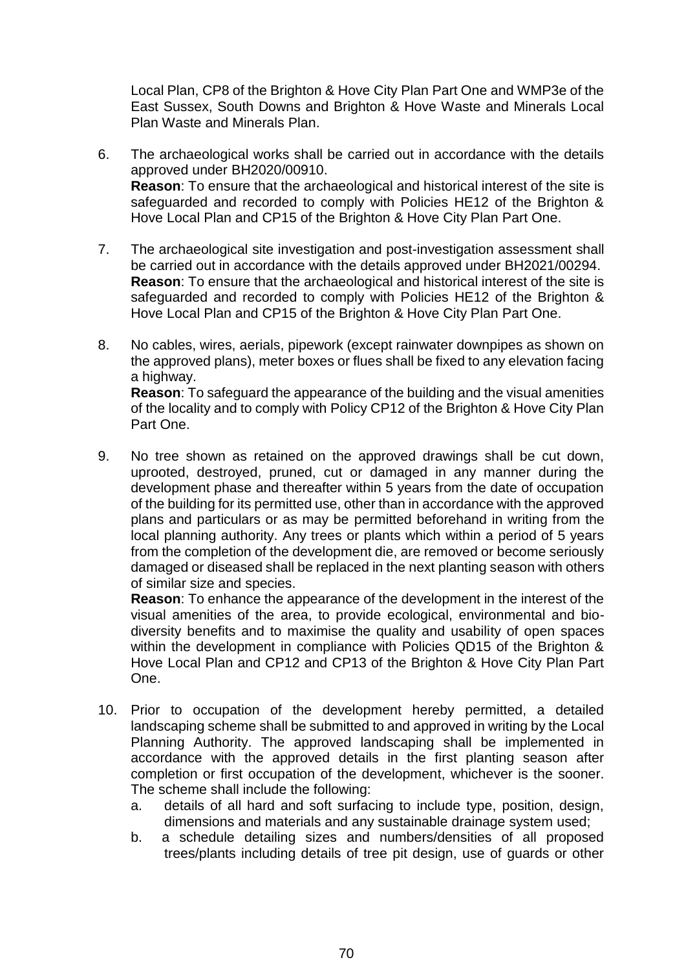Local Plan, CP8 of the Brighton & Hove City Plan Part One and WMP3e of the East Sussex, South Downs and Brighton & Hove Waste and Minerals Local Plan Waste and Minerals Plan.

- 6. The archaeological works shall be carried out in accordance with the details approved under BH2020/00910. **Reason**: To ensure that the archaeological and historical interest of the site is safeguarded and recorded to comply with Policies HE12 of the Brighton & Hove Local Plan and CP15 of the Brighton & Hove City Plan Part One.
- 7. The archaeological site investigation and post-investigation assessment shall be carried out in accordance with the details approved under BH2021/00294. **Reason**: To ensure that the archaeological and historical interest of the site is safeguarded and recorded to comply with Policies HE12 of the Brighton & Hove Local Plan and CP15 of the Brighton & Hove City Plan Part One.
- 8. No cables, wires, aerials, pipework (except rainwater downpipes as shown on the approved plans), meter boxes or flues shall be fixed to any elevation facing a highway. **Reason**: To safeguard the appearance of the building and the visual amenities of the locality and to comply with Policy CP12 of the Brighton & Hove City Plan Part One.
- 9. No tree shown as retained on the approved drawings shall be cut down, uprooted, destroyed, pruned, cut or damaged in any manner during the development phase and thereafter within 5 years from the date of occupation of the building for its permitted use, other than in accordance with the approved plans and particulars or as may be permitted beforehand in writing from the local planning authority. Any trees or plants which within a period of 5 years from the completion of the development die, are removed or become seriously damaged or diseased shall be replaced in the next planting season with others of similar size and species.

**Reason**: To enhance the appearance of the development in the interest of the visual amenities of the area, to provide ecological, environmental and biodiversity benefits and to maximise the quality and usability of open spaces within the development in compliance with Policies QD15 of the Brighton & Hove Local Plan and CP12 and CP13 of the Brighton & Hove City Plan Part One.

- 10. Prior to occupation of the development hereby permitted, a detailed landscaping scheme shall be submitted to and approved in writing by the Local Planning Authority. The approved landscaping shall be implemented in accordance with the approved details in the first planting season after completion or first occupation of the development, whichever is the sooner. The scheme shall include the following:
	- a. details of all hard and soft surfacing to include type, position, design, dimensions and materials and any sustainable drainage system used;
	- b. a schedule detailing sizes and numbers/densities of all proposed trees/plants including details of tree pit design, use of guards or other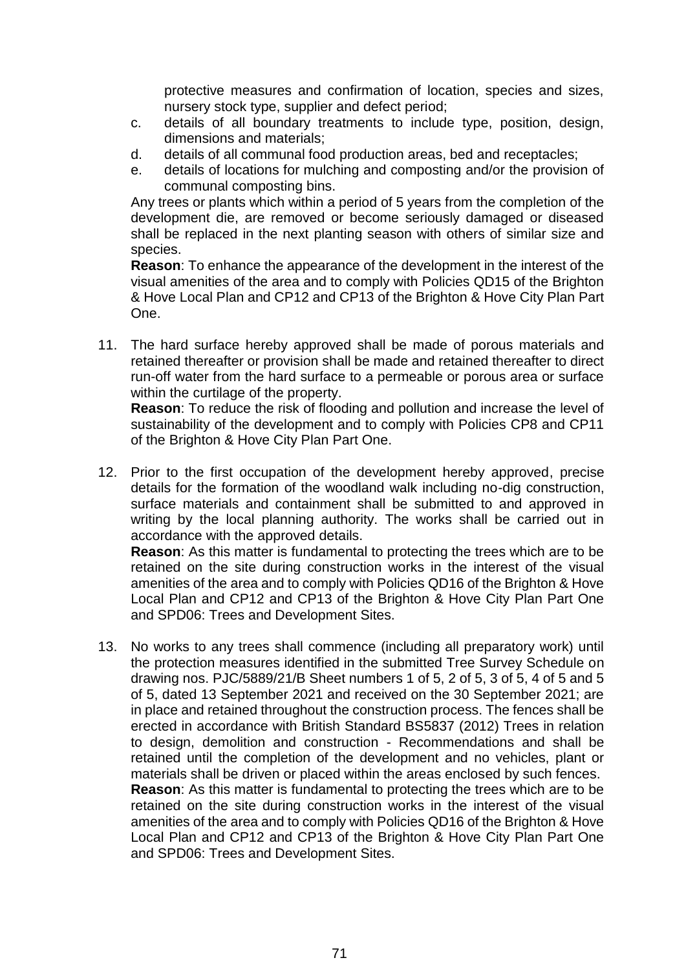protective measures and confirmation of location, species and sizes, nursery stock type, supplier and defect period;

- c. details of all boundary treatments to include type, position, design, dimensions and materials;
- d. details of all communal food production areas, bed and receptacles;
- e. details of locations for mulching and composting and/or the provision of communal composting bins.

Any trees or plants which within a period of 5 years from the completion of the development die, are removed or become seriously damaged or diseased shall be replaced in the next planting season with others of similar size and species.

**Reason**: To enhance the appearance of the development in the interest of the visual amenities of the area and to comply with Policies QD15 of the Brighton & Hove Local Plan and CP12 and CP13 of the Brighton & Hove City Plan Part One.

11. The hard surface hereby approved shall be made of porous materials and retained thereafter or provision shall be made and retained thereafter to direct run-off water from the hard surface to a permeable or porous area or surface within the curtilage of the property.

**Reason**: To reduce the risk of flooding and pollution and increase the level of sustainability of the development and to comply with Policies CP8 and CP11 of the Brighton & Hove City Plan Part One.

12. Prior to the first occupation of the development hereby approved, precise details for the formation of the woodland walk including no-dig construction, surface materials and containment shall be submitted to and approved in writing by the local planning authority. The works shall be carried out in accordance with the approved details.

**Reason**: As this matter is fundamental to protecting the trees which are to be retained on the site during construction works in the interest of the visual amenities of the area and to comply with Policies QD16 of the Brighton & Hove Local Plan and CP12 and CP13 of the Brighton & Hove City Plan Part One and SPD06: Trees and Development Sites.

13. No works to any trees shall commence (including all preparatory work) until the protection measures identified in the submitted Tree Survey Schedule on drawing nos. PJC/5889/21/B Sheet numbers 1 of 5, 2 of 5, 3 of 5, 4 of 5 and 5 of 5, dated 13 September 2021 and received on the 30 September 2021; are in place and retained throughout the construction process. The fences shall be erected in accordance with British Standard BS5837 (2012) Trees in relation to design, demolition and construction - Recommendations and shall be retained until the completion of the development and no vehicles, plant or materials shall be driven or placed within the areas enclosed by such fences. **Reason**: As this matter is fundamental to protecting the trees which are to be retained on the site during construction works in the interest of the visual amenities of the area and to comply with Policies QD16 of the Brighton & Hove Local Plan and CP12 and CP13 of the Brighton & Hove City Plan Part One and SPD06: Trees and Development Sites.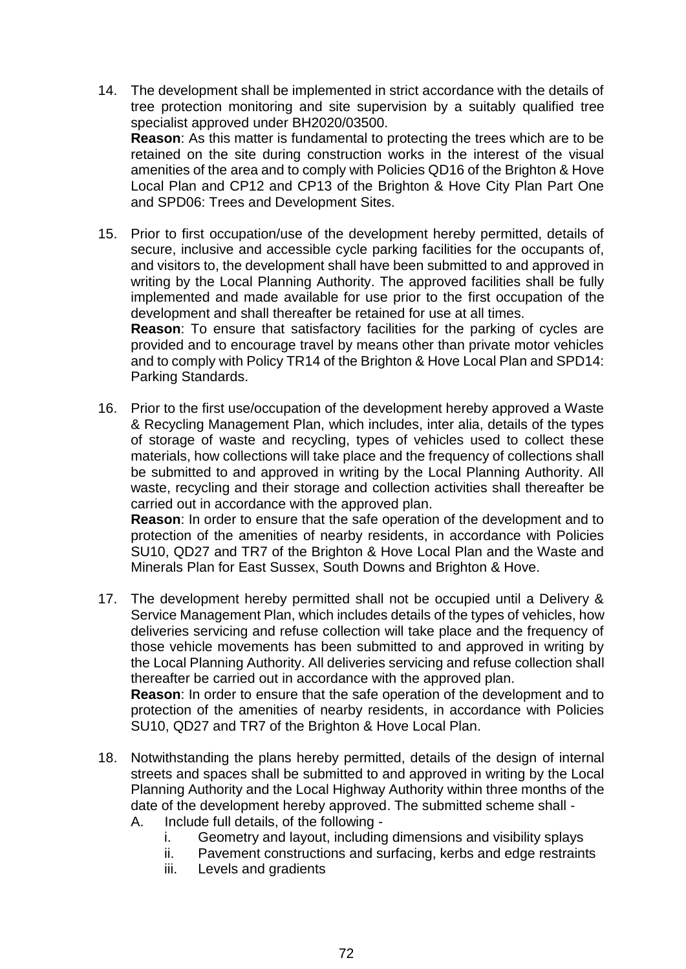- 14. The development shall be implemented in strict accordance with the details of tree protection monitoring and site supervision by a suitably qualified tree specialist approved under BH2020/03500. **Reason**: As this matter is fundamental to protecting the trees which are to be retained on the site during construction works in the interest of the visual amenities of the area and to comply with Policies QD16 of the Brighton & Hove Local Plan and CP12 and CP13 of the Brighton & Hove City Plan Part One and SPD06: Trees and Development Sites.
- 15. Prior to first occupation/use of the development hereby permitted, details of secure, inclusive and accessible cycle parking facilities for the occupants of, and visitors to, the development shall have been submitted to and approved in writing by the Local Planning Authority. The approved facilities shall be fully implemented and made available for use prior to the first occupation of the development and shall thereafter be retained for use at all times.

**Reason**: To ensure that satisfactory facilities for the parking of cycles are provided and to encourage travel by means other than private motor vehicles and to comply with Policy TR14 of the Brighton & Hove Local Plan and SPD14: Parking Standards.

16. Prior to the first use/occupation of the development hereby approved a Waste & Recycling Management Plan, which includes, inter alia, details of the types of storage of waste and recycling, types of vehicles used to collect these materials, how collections will take place and the frequency of collections shall be submitted to and approved in writing by the Local Planning Authority. All waste, recycling and their storage and collection activities shall thereafter be carried out in accordance with the approved plan. **Reason**: In order to ensure that the safe operation of the development and to

protection of the amenities of nearby residents, in accordance with Policies SU10, QD27 and TR7 of the Brighton & Hove Local Plan and the Waste and Minerals Plan for East Sussex, South Downs and Brighton & Hove.

17. The development hereby permitted shall not be occupied until a Delivery & Service Management Plan, which includes details of the types of vehicles, how deliveries servicing and refuse collection will take place and the frequency of those vehicle movements has been submitted to and approved in writing by the Local Planning Authority. All deliveries servicing and refuse collection shall thereafter be carried out in accordance with the approved plan.

**Reason**: In order to ensure that the safe operation of the development and to protection of the amenities of nearby residents, in accordance with Policies SU10, QD27 and TR7 of the Brighton & Hove Local Plan.

- 18. Notwithstanding the plans hereby permitted, details of the design of internal streets and spaces shall be submitted to and approved in writing by the Local Planning Authority and the Local Highway Authority within three months of the date of the development hereby approved. The submitted scheme shall - A. Include full details, of the following
	- i. Geometry and layout, including dimensions and visibility splays
	- ii. Pavement constructions and surfacing, kerbs and edge restraints
	- iii. Levels and gradients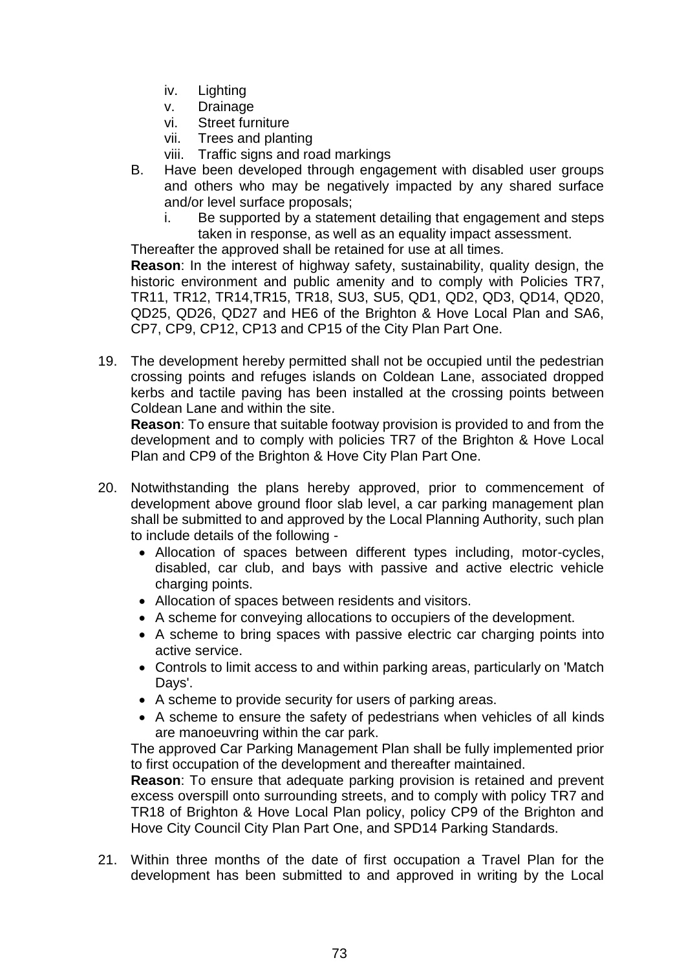- iv. Lighting
- v. Drainage
- vi. Street furniture
- vii. Trees and planting
- viii. Traffic signs and road markings
- B. Have been developed through engagement with disabled user groups and others who may be negatively impacted by any shared surface and/or level surface proposals;
	- i. Be supported by a statement detailing that engagement and steps taken in response, as well as an equality impact assessment.

Thereafter the approved shall be retained for use at all times.

**Reason**: In the interest of highway safety, sustainability, quality design, the historic environment and public amenity and to comply with Policies TR7, TR11, TR12, TR14,TR15, TR18, SU3, SU5, QD1, QD2, QD3, QD14, QD20, QD25, QD26, QD27 and HE6 of the Brighton & Hove Local Plan and SA6, CP7, CP9, CP12, CP13 and CP15 of the City Plan Part One.

19. The development hereby permitted shall not be occupied until the pedestrian crossing points and refuges islands on Coldean Lane, associated dropped kerbs and tactile paving has been installed at the crossing points between Coldean Lane and within the site.

**Reason**: To ensure that suitable footway provision is provided to and from the development and to comply with policies TR7 of the Brighton & Hove Local Plan and CP9 of the Brighton & Hove City Plan Part One.

- 20. Notwithstanding the plans hereby approved, prior to commencement of development above ground floor slab level, a car parking management plan shall be submitted to and approved by the Local Planning Authority, such plan to include details of the following -
	- Allocation of spaces between different types including, motor-cycles, disabled, car club, and bays with passive and active electric vehicle charging points.
	- Allocation of spaces between residents and visitors.
	- A scheme for conveying allocations to occupiers of the development.
	- A scheme to bring spaces with passive electric car charging points into active service.
	- Controls to limit access to and within parking areas, particularly on 'Match Days'.
	- A scheme to provide security for users of parking areas.
	- A scheme to ensure the safety of pedestrians when vehicles of all kinds are manoeuvring within the car park.

The approved Car Parking Management Plan shall be fully implemented prior to first occupation of the development and thereafter maintained.

**Reason**: To ensure that adequate parking provision is retained and prevent excess overspill onto surrounding streets, and to comply with policy TR7 and TR18 of Brighton & Hove Local Plan policy, policy CP9 of the Brighton and Hove City Council City Plan Part One, and SPD14 Parking Standards.

21. Within three months of the date of first occupation a Travel Plan for the development has been submitted to and approved in writing by the Local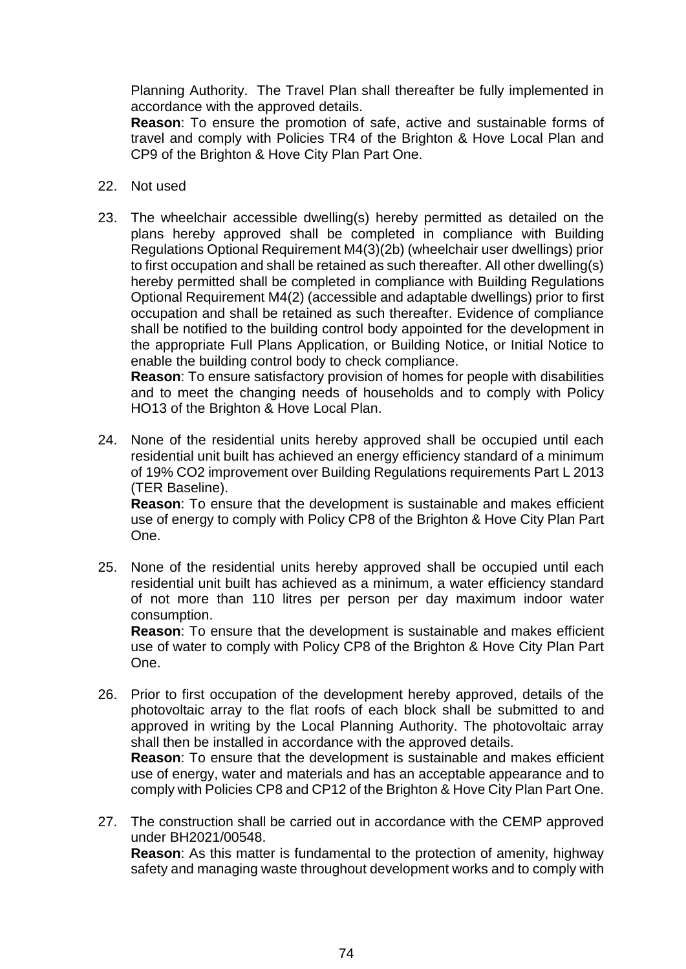Planning Authority. The Travel Plan shall thereafter be fully implemented in accordance with the approved details.

**Reason**: To ensure the promotion of safe, active and sustainable forms of travel and comply with Policies TR4 of the Brighton & Hove Local Plan and CP9 of the Brighton & Hove City Plan Part One.

- 22. Not used
- 23. The wheelchair accessible dwelling(s) hereby permitted as detailed on the plans hereby approved shall be completed in compliance with Building Regulations Optional Requirement M4(3)(2b) (wheelchair user dwellings) prior to first occupation and shall be retained as such thereafter. All other dwelling(s) hereby permitted shall be completed in compliance with Building Regulations Optional Requirement M4(2) (accessible and adaptable dwellings) prior to first occupation and shall be retained as such thereafter. Evidence of compliance shall be notified to the building control body appointed for the development in the appropriate Full Plans Application, or Building Notice, or Initial Notice to enable the building control body to check compliance.

**Reason**: To ensure satisfactory provision of homes for people with disabilities and to meet the changing needs of households and to comply with Policy HO13 of the Brighton & Hove Local Plan.

24. None of the residential units hereby approved shall be occupied until each residential unit built has achieved an energy efficiency standard of a minimum of 19% CO2 improvement over Building Regulations requirements Part L 2013 (TER Baseline). **Reason**: To ensure that the development is sustainable and makes efficient

use of energy to comply with Policy CP8 of the Brighton & Hove City Plan Part One.

25. None of the residential units hereby approved shall be occupied until each residential unit built has achieved as a minimum, a water efficiency standard of not more than 110 litres per person per day maximum indoor water consumption.

**Reason**: To ensure that the development is sustainable and makes efficient use of water to comply with Policy CP8 of the Brighton & Hove City Plan Part One.

26. Prior to first occupation of the development hereby approved, details of the photovoltaic array to the flat roofs of each block shall be submitted to and approved in writing by the Local Planning Authority. The photovoltaic array shall then be installed in accordance with the approved details.

**Reason**: To ensure that the development is sustainable and makes efficient use of energy, water and materials and has an acceptable appearance and to comply with Policies CP8 and CP12 of the Brighton & Hove City Plan Part One.

27. The construction shall be carried out in accordance with the CEMP approved under BH2021/00548. **Reason**: As this matter is fundamental to the protection of amenity, highway safety and managing waste throughout development works and to comply with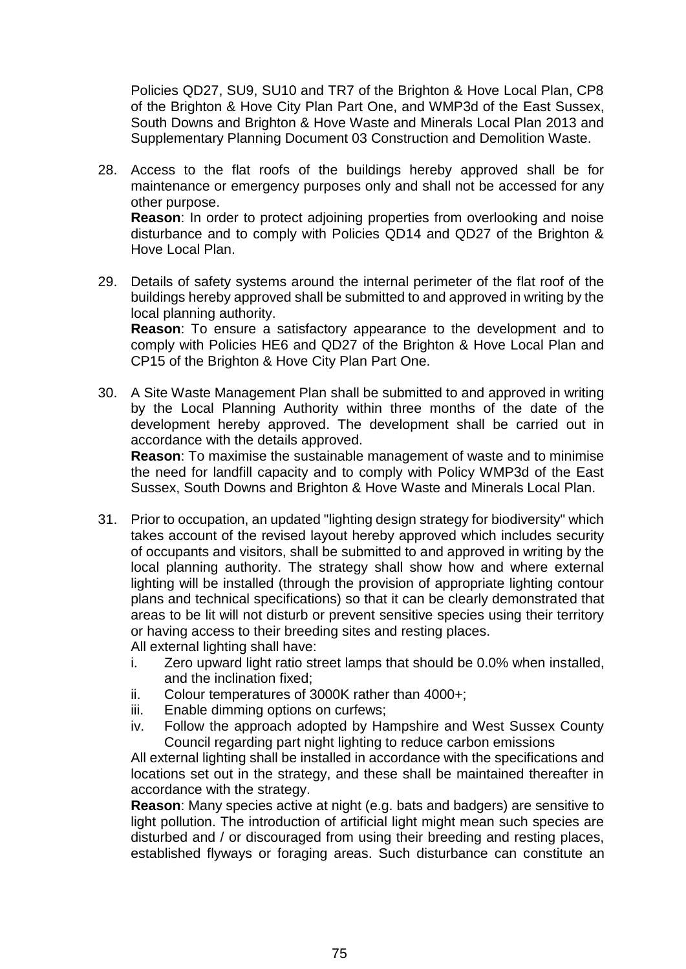Policies QD27, SU9, SU10 and TR7 of the Brighton & Hove Local Plan, CP8 of the Brighton & Hove City Plan Part One, and WMP3d of the East Sussex, South Downs and Brighton & Hove Waste and Minerals Local Plan 2013 and Supplementary Planning Document 03 Construction and Demolition Waste.

- 28. Access to the flat roofs of the buildings hereby approved shall be for maintenance or emergency purposes only and shall not be accessed for any other purpose. **Reason**: In order to protect adjoining properties from overlooking and noise disturbance and to comply with Policies QD14 and QD27 of the Brighton & Hove Local Plan.
- 29. Details of safety systems around the internal perimeter of the flat roof of the buildings hereby approved shall be submitted to and approved in writing by the local planning authority.

**Reason**: To ensure a satisfactory appearance to the development and to comply with Policies HE6 and QD27 of the Brighton & Hove Local Plan and CP15 of the Brighton & Hove City Plan Part One.

30. A Site Waste Management Plan shall be submitted to and approved in writing by the Local Planning Authority within three months of the date of the development hereby approved. The development shall be carried out in accordance with the details approved. **Reason**: To maximise the sustainable management of waste and to minimise

the need for landfill capacity and to comply with Policy WMP3d of the East Sussex, South Downs and Brighton & Hove Waste and Minerals Local Plan.

- 31. Prior to occupation, an updated "lighting design strategy for biodiversity" which takes account of the revised layout hereby approved which includes security of occupants and visitors, shall be submitted to and approved in writing by the local planning authority. The strategy shall show how and where external lighting will be installed (through the provision of appropriate lighting contour plans and technical specifications) so that it can be clearly demonstrated that areas to be lit will not disturb or prevent sensitive species using their territory or having access to their breeding sites and resting places. All external lighting shall have:
	- i. Zero upward light ratio street lamps that should be 0.0% when installed, and the inclination fixed;
	- ii. Colour temperatures of 3000K rather than 4000+;
	- iii. Enable dimming options on curfews;
	- iv. Follow the approach adopted by Hampshire and West Sussex County Council regarding part night lighting to reduce carbon emissions

All external lighting shall be installed in accordance with the specifications and locations set out in the strategy, and these shall be maintained thereafter in accordance with the strategy.

**Reason**: Many species active at night (e.g. bats and badgers) are sensitive to light pollution. The introduction of artificial light might mean such species are disturbed and / or discouraged from using their breeding and resting places, established flyways or foraging areas. Such disturbance can constitute an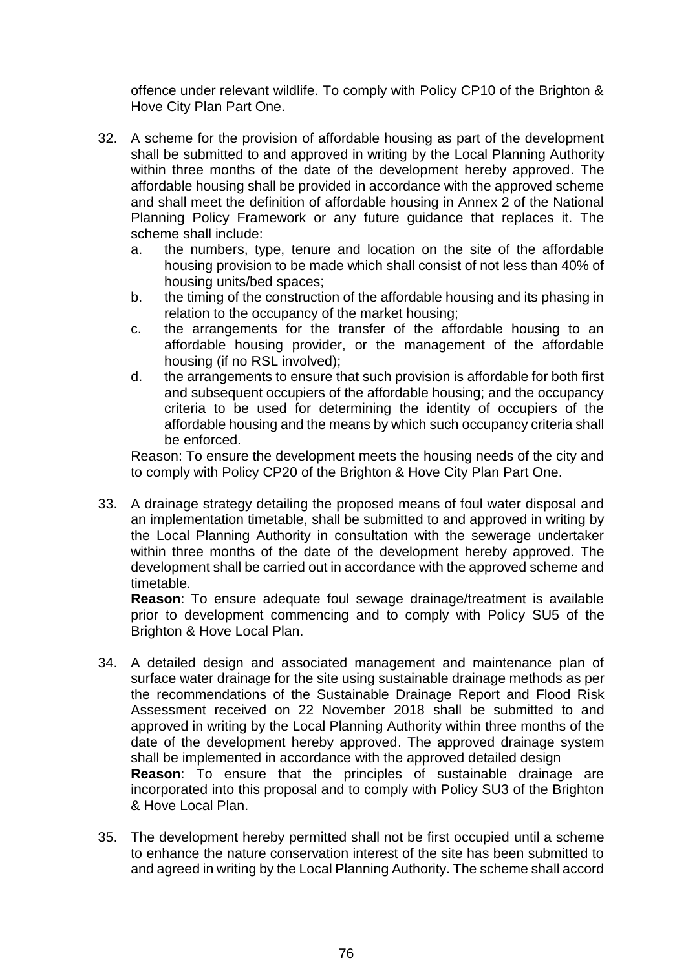offence under relevant wildlife. To comply with Policy CP10 of the Brighton & Hove City Plan Part One.

- 32. A scheme for the provision of affordable housing as part of the development shall be submitted to and approved in writing by the Local Planning Authority within three months of the date of the development hereby approved. The affordable housing shall be provided in accordance with the approved scheme and shall meet the definition of affordable housing in Annex 2 of the National Planning Policy Framework or any future guidance that replaces it. The scheme shall include:
	- a. the numbers, type, tenure and location on the site of the affordable housing provision to be made which shall consist of not less than 40% of housing units/bed spaces;
	- b. the timing of the construction of the affordable housing and its phasing in relation to the occupancy of the market housing;
	- c. the arrangements for the transfer of the affordable housing to an affordable housing provider, or the management of the affordable housing (if no RSL involved);
	- d. the arrangements to ensure that such provision is affordable for both first and subsequent occupiers of the affordable housing; and the occupancy criteria to be used for determining the identity of occupiers of the affordable housing and the means by which such occupancy criteria shall be enforced.

Reason: To ensure the development meets the housing needs of the city and to comply with Policy CP20 of the Brighton & Hove City Plan Part One.

33. A drainage strategy detailing the proposed means of foul water disposal and an implementation timetable, shall be submitted to and approved in writing by the Local Planning Authority in consultation with the sewerage undertaker within three months of the date of the development hereby approved. The development shall be carried out in accordance with the approved scheme and timetable.

**Reason**: To ensure adequate foul sewage drainage/treatment is available prior to development commencing and to comply with Policy SU5 of the Brighton & Hove Local Plan.

- 34. A detailed design and associated management and maintenance plan of surface water drainage for the site using sustainable drainage methods as per the recommendations of the Sustainable Drainage Report and Flood Risk Assessment received on 22 November 2018 shall be submitted to and approved in writing by the Local Planning Authority within three months of the date of the development hereby approved. The approved drainage system shall be implemented in accordance with the approved detailed design **Reason**: To ensure that the principles of sustainable drainage are incorporated into this proposal and to comply with Policy SU3 of the Brighton & Hove Local Plan.
- 35. The development hereby permitted shall not be first occupied until a scheme to enhance the nature conservation interest of the site has been submitted to and agreed in writing by the Local Planning Authority. The scheme shall accord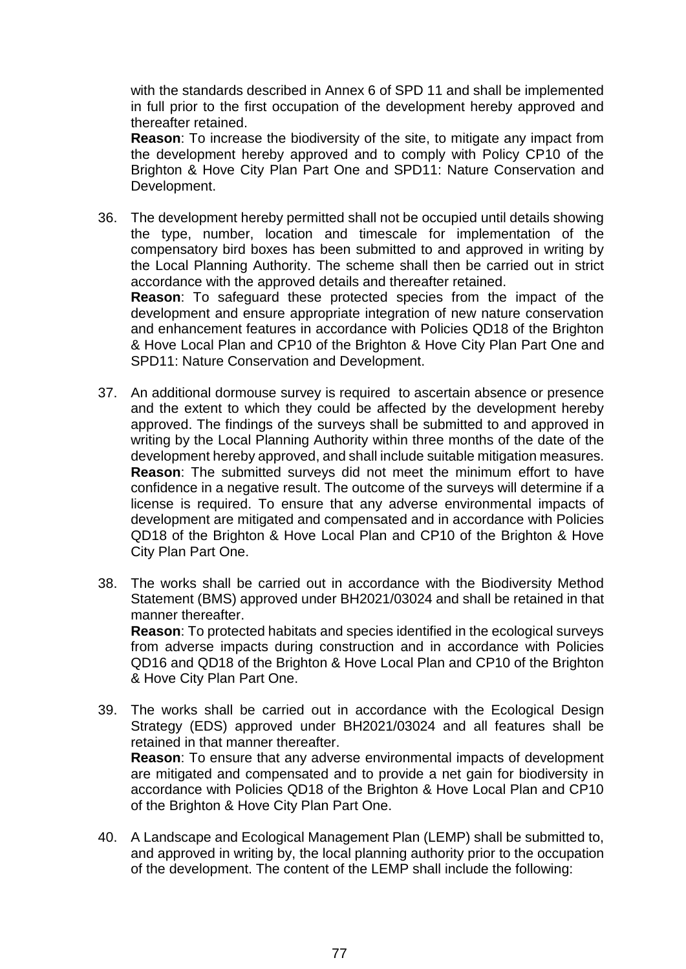with the standards described in Annex 6 of SPD 11 and shall be implemented in full prior to the first occupation of the development hereby approved and thereafter retained.

**Reason**: To increase the biodiversity of the site, to mitigate any impact from the development hereby approved and to comply with Policy CP10 of the Brighton & Hove City Plan Part One and SPD11: Nature Conservation and Development.

- 36. The development hereby permitted shall not be occupied until details showing the type, number, location and timescale for implementation of the compensatory bird boxes has been submitted to and approved in writing by the Local Planning Authority. The scheme shall then be carried out in strict accordance with the approved details and thereafter retained. **Reason**: To safeguard these protected species from the impact of the development and ensure appropriate integration of new nature conservation and enhancement features in accordance with Policies QD18 of the Brighton & Hove Local Plan and CP10 of the Brighton & Hove City Plan Part One and SPD11: Nature Conservation and Development.
- 37. An additional dormouse survey is required to ascertain absence or presence and the extent to which they could be affected by the development hereby approved. The findings of the surveys shall be submitted to and approved in writing by the Local Planning Authority within three months of the date of the development hereby approved, and shall include suitable mitigation measures. **Reason**: The submitted surveys did not meet the minimum effort to have confidence in a negative result. The outcome of the surveys will determine if a license is required. To ensure that any adverse environmental impacts of development are mitigated and compensated and in accordance with Policies QD18 of the Brighton & Hove Local Plan and CP10 of the Brighton & Hove City Plan Part One.
- 38. The works shall be carried out in accordance with the Biodiversity Method Statement (BMS) approved under BH2021/03024 and shall be retained in that manner thereafter. **Reason**: To protected habitats and species identified in the ecological surveys

from adverse impacts during construction and in accordance with Policies QD16 and QD18 of the Brighton & Hove Local Plan and CP10 of the Brighton & Hove City Plan Part One.

- 39. The works shall be carried out in accordance with the Ecological Design Strategy (EDS) approved under BH2021/03024 and all features shall be retained in that manner thereafter. **Reason**: To ensure that any adverse environmental impacts of development are mitigated and compensated and to provide a net gain for biodiversity in accordance with Policies QD18 of the Brighton & Hove Local Plan and CP10 of the Brighton & Hove City Plan Part One.
- 40. A Landscape and Ecological Management Plan (LEMP) shall be submitted to, and approved in writing by, the local planning authority prior to the occupation of the development. The content of the LEMP shall include the following: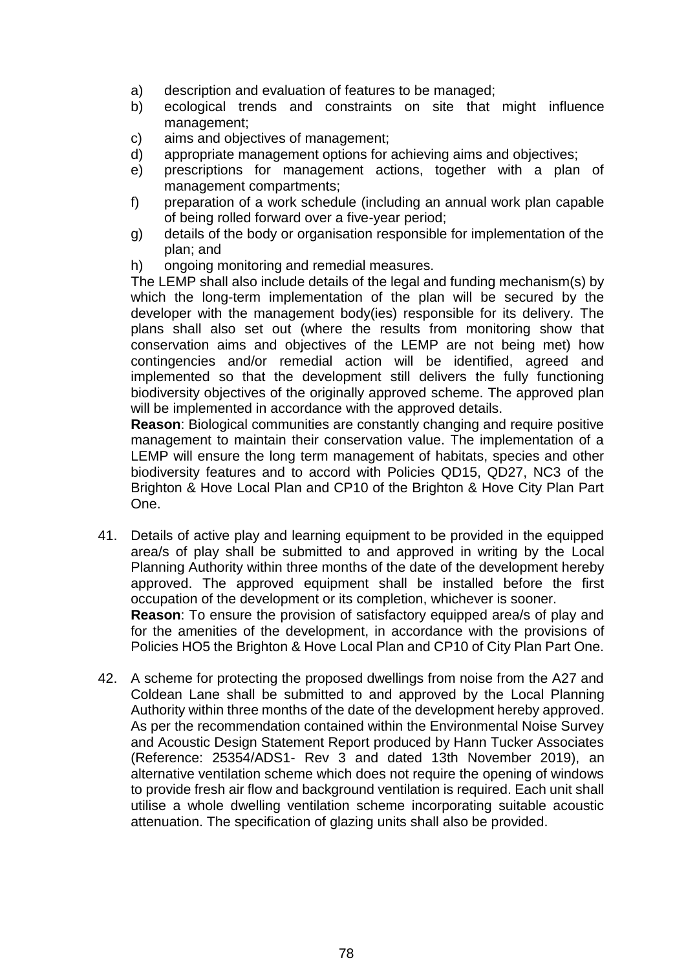- a) description and evaluation of features to be managed;
- b) ecological trends and constraints on site that might influence management;
- c) aims and objectives of management;
- d) appropriate management options for achieving aims and objectives;
- e) prescriptions for management actions, together with a plan of management compartments;
- f) preparation of a work schedule (including an annual work plan capable of being rolled forward over a five-year period;
- g) details of the body or organisation responsible for implementation of the plan; and
- h) ongoing monitoring and remedial measures.

The LEMP shall also include details of the legal and funding mechanism(s) by which the long-term implementation of the plan will be secured by the developer with the management body(ies) responsible for its delivery. The plans shall also set out (where the results from monitoring show that conservation aims and objectives of the LEMP are not being met) how contingencies and/or remedial action will be identified, agreed and implemented so that the development still delivers the fully functioning biodiversity objectives of the originally approved scheme. The approved plan will be implemented in accordance with the approved details.

**Reason:** Biological communities are constantly changing and require positive management to maintain their conservation value. The implementation of a LEMP will ensure the long term management of habitats, species and other biodiversity features and to accord with Policies QD15, QD27, NC3 of the Brighton & Hove Local Plan and CP10 of the Brighton & Hove City Plan Part One.

41. Details of active play and learning equipment to be provided in the equipped area/s of play shall be submitted to and approved in writing by the Local Planning Authority within three months of the date of the development hereby approved. The approved equipment shall be installed before the first occupation of the development or its completion, whichever is sooner. **Reason**: To ensure the provision of satisfactory equipped area/s of play and for the amenities of the development, in accordance with the provisions of

Policies HO5 the Brighton & Hove Local Plan and CP10 of City Plan Part One.

42. A scheme for protecting the proposed dwellings from noise from the A27 and Coldean Lane shall be submitted to and approved by the Local Planning Authority within three months of the date of the development hereby approved. As per the recommendation contained within the Environmental Noise Survey and Acoustic Design Statement Report produced by Hann Tucker Associates (Reference: 25354/ADS1- Rev 3 and dated 13th November 2019), an alternative ventilation scheme which does not require the opening of windows to provide fresh air flow and background ventilation is required. Each unit shall utilise a whole dwelling ventilation scheme incorporating suitable acoustic attenuation. The specification of glazing units shall also be provided.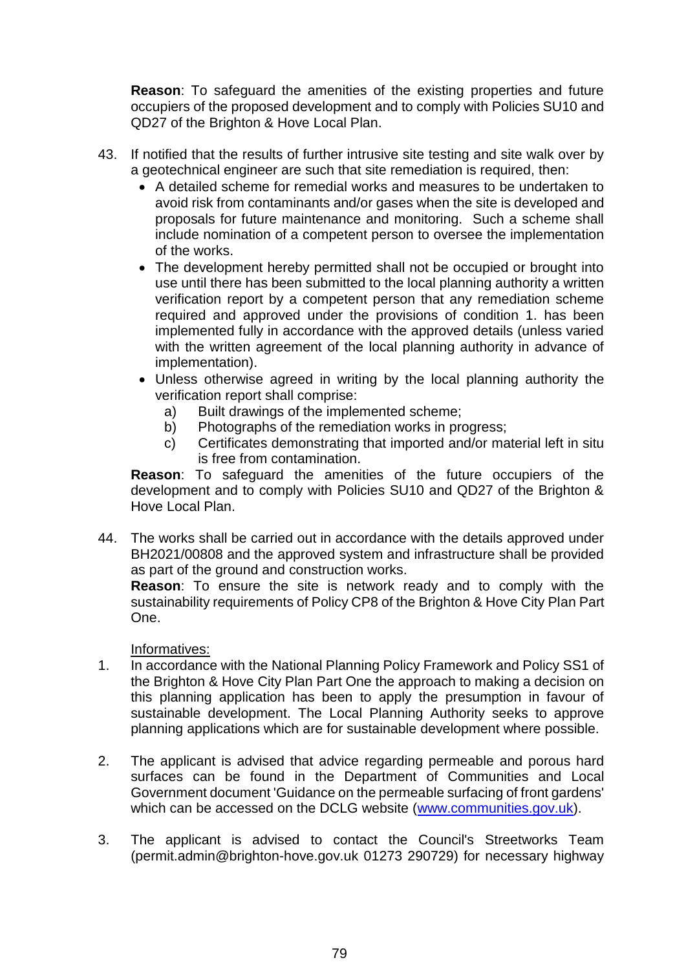**Reason**: To safeguard the amenities of the existing properties and future occupiers of the proposed development and to comply with Policies SU10 and QD27 of the Brighton & Hove Local Plan.

- 43. If notified that the results of further intrusive site testing and site walk over by a geotechnical engineer are such that site remediation is required, then:
	- A detailed scheme for remedial works and measures to be undertaken to avoid risk from contaminants and/or gases when the site is developed and proposals for future maintenance and monitoring. Such a scheme shall include nomination of a competent person to oversee the implementation of the works.
	- The development hereby permitted shall not be occupied or brought into use until there has been submitted to the local planning authority a written verification report by a competent person that any remediation scheme required and approved under the provisions of condition 1. has been implemented fully in accordance with the approved details (unless varied with the written agreement of the local planning authority in advance of implementation).
	- Unless otherwise agreed in writing by the local planning authority the verification report shall comprise:
		- a) Built drawings of the implemented scheme;
		- b) Photographs of the remediation works in progress;
		- c) Certificates demonstrating that imported and/or material left in situ is free from contamination.

**Reason**: To safeguard the amenities of the future occupiers of the development and to comply with Policies SU10 and QD27 of the Brighton & Hove Local Plan.

44. The works shall be carried out in accordance with the details approved under BH2021/00808 and the approved system and infrastructure shall be provided as part of the ground and construction works.

**Reason**: To ensure the site is network ready and to comply with the sustainability requirements of Policy CP8 of the Brighton & Hove City Plan Part One.

Informatives:

- 1. In accordance with the National Planning Policy Framework and Policy SS1 of the Brighton & Hove City Plan Part One the approach to making a decision on this planning application has been to apply the presumption in favour of sustainable development. The Local Planning Authority seeks to approve planning applications which are for sustainable development where possible.
- 2. The applicant is advised that advice regarding permeable and porous hard surfaces can be found in the Department of Communities and Local Government document 'Guidance on the permeable surfacing of front gardens' which can be accessed on the DCLG website [\(www.communities.gov.uk\)](http://www.communities.gov.uk/).
- 3. The applicant is advised to contact the Council's Streetworks Team (permit.admin@brighton-hove.gov.uk 01273 290729) for necessary highway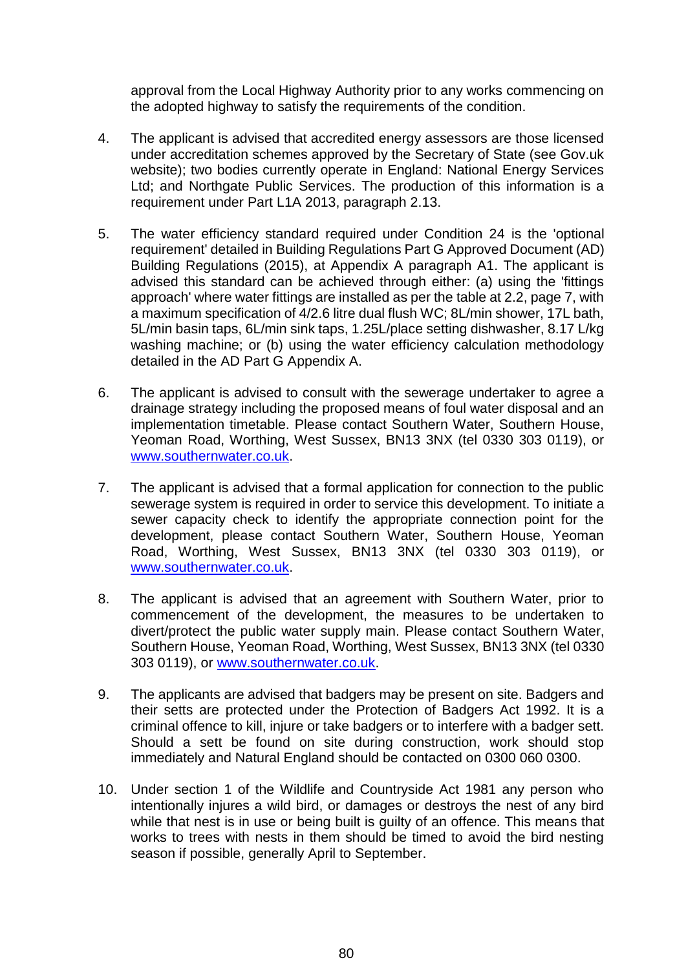approval from the Local Highway Authority prior to any works commencing on the adopted highway to satisfy the requirements of the condition.

- 4. The applicant is advised that accredited energy assessors are those licensed under accreditation schemes approved by the Secretary of State (see Gov.uk website); two bodies currently operate in England: National Energy Services Ltd; and Northgate Public Services. The production of this information is a requirement under Part L1A 2013, paragraph 2.13.
- 5. The water efficiency standard required under Condition 24 is the 'optional requirement' detailed in Building Regulations Part G Approved Document (AD) Building Regulations (2015), at Appendix A paragraph A1. The applicant is advised this standard can be achieved through either: (a) using the 'fittings approach' where water fittings are installed as per the table at 2.2, page 7, with a maximum specification of 4/2.6 litre dual flush WC; 8L/min shower, 17L bath, 5L/min basin taps, 6L/min sink taps, 1.25L/place setting dishwasher, 8.17 L/kg washing machine; or (b) using the water efficiency calculation methodology detailed in the AD Part G Appendix A.
- 6. The applicant is advised to consult with the sewerage undertaker to agree a drainage strategy including the proposed means of foul water disposal and an implementation timetable. Please contact Southern Water, Southern House, Yeoman Road, Worthing, West Sussex, BN13 3NX (tel 0330 303 0119), or [www.southernwater.co.uk.](http://www.southernwater.co.uk/)
- 7. The applicant is advised that a formal application for connection to the public sewerage system is required in order to service this development. To initiate a sewer capacity check to identify the appropriate connection point for the development, please contact Southern Water, Southern House, Yeoman Road, Worthing, West Sussex, BN13 3NX (tel 0330 303 0119), or [www.southernwater.co.uk.](http://www.southernwater.co.uk/)
- 8. The applicant is advised that an agreement with Southern Water, prior to commencement of the development, the measures to be undertaken to divert/protect the public water supply main. Please contact Southern Water, Southern House, Yeoman Road, Worthing, West Sussex, BN13 3NX (tel 0330 303 0119), or [www.southernwater.co.uk.](http://www.southernwater.co.uk/)
- 9. The applicants are advised that badgers may be present on site. Badgers and their setts are protected under the Protection of Badgers Act 1992. It is a criminal offence to kill, injure or take badgers or to interfere with a badger sett. Should a sett be found on site during construction, work should stop immediately and Natural England should be contacted on 0300 060 0300.
- 10. Under section 1 of the Wildlife and Countryside Act 1981 any person who intentionally injures a wild bird, or damages or destroys the nest of any bird while that nest is in use or being built is guilty of an offence. This means that works to trees with nests in them should be timed to avoid the bird nesting season if possible, generally April to September.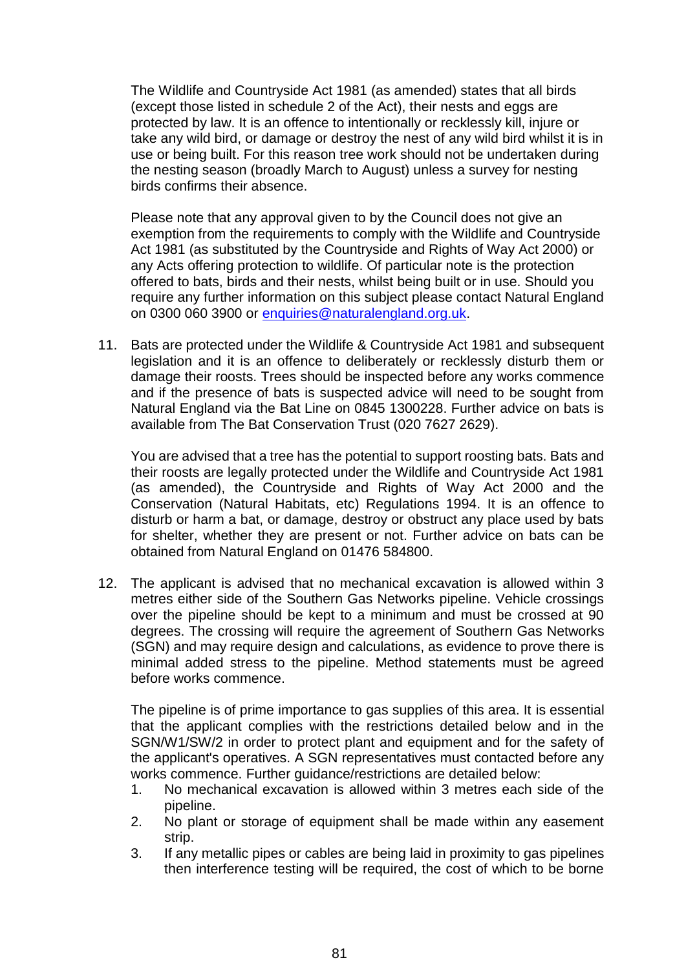The Wildlife and Countryside Act 1981 (as amended) states that all birds (except those listed in schedule 2 of the Act), their nests and eggs are protected by law. It is an offence to intentionally or recklessly kill, injure or take any wild bird, or damage or destroy the nest of any wild bird whilst it is in use or being built. For this reason tree work should not be undertaken during the nesting season (broadly March to August) unless a survey for nesting birds confirms their absence.

Please note that any approval given to by the Council does not give an exemption from the requirements to comply with the Wildlife and Countryside Act 1981 (as substituted by the Countryside and Rights of Way Act 2000) or any Acts offering protection to wildlife. Of particular note is the protection offered to bats, birds and their nests, whilst being built or in use. Should you require any further information on this subject please contact Natural England on 0300 060 3900 or [enquiries@naturalengland.org.uk.](mailto:enquiries@naturalengland.org.uk)

11. Bats are protected under the Wildlife & Countryside Act 1981 and subsequent legislation and it is an offence to deliberately or recklessly disturb them or damage their roosts. Trees should be inspected before any works commence and if the presence of bats is suspected advice will need to be sought from Natural England via the Bat Line on 0845 1300228. Further advice on bats is available from The Bat Conservation Trust (020 7627 2629).

You are advised that a tree has the potential to support roosting bats. Bats and their roosts are legally protected under the Wildlife and Countryside Act 1981 (as amended), the Countryside and Rights of Way Act 2000 and the Conservation (Natural Habitats, etc) Regulations 1994. It is an offence to disturb or harm a bat, or damage, destroy or obstruct any place used by bats for shelter, whether they are present or not. Further advice on bats can be obtained from Natural England on 01476 584800.

12. The applicant is advised that no mechanical excavation is allowed within 3 metres either side of the Southern Gas Networks pipeline. Vehicle crossings over the pipeline should be kept to a minimum and must be crossed at 90 degrees. The crossing will require the agreement of Southern Gas Networks (SGN) and may require design and calculations, as evidence to prove there is minimal added stress to the pipeline. Method statements must be agreed before works commence.

The pipeline is of prime importance to gas supplies of this area. It is essential that the applicant complies with the restrictions detailed below and in the SGN/W1/SW/2 in order to protect plant and equipment and for the safety of the applicant's operatives. A SGN representatives must contacted before any works commence. Further guidance/restrictions are detailed below:

- 1. No mechanical excavation is allowed within 3 metres each side of the pipeline.
- 2. No plant or storage of equipment shall be made within any easement strip.
- 3. If any metallic pipes or cables are being laid in proximity to gas pipelines then interference testing will be required, the cost of which to be borne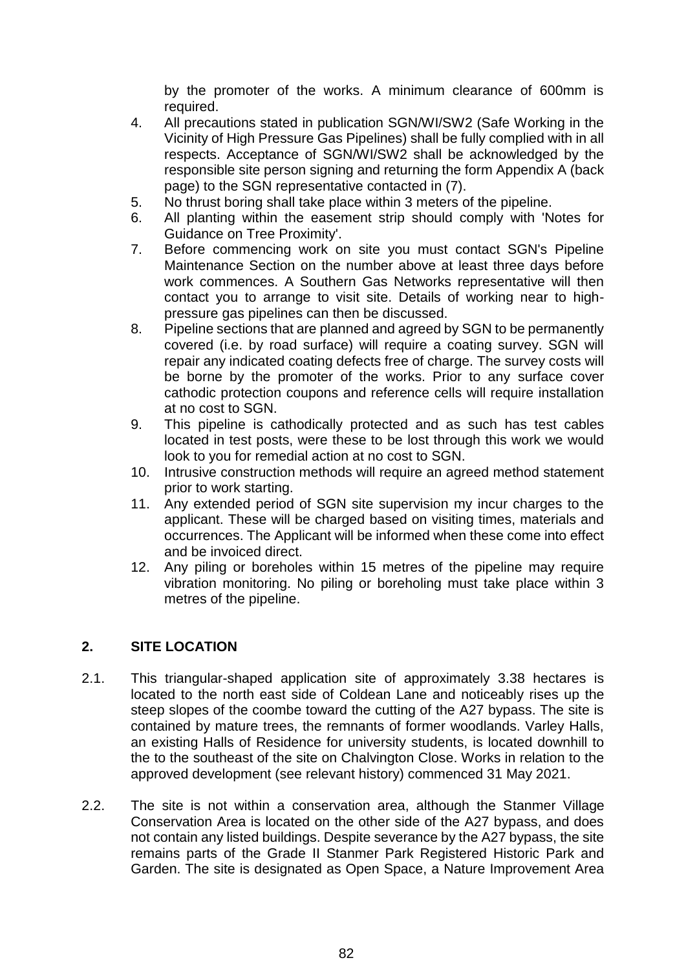by the promoter of the works. A minimum clearance of 600mm is required.

- 4. All precautions stated in publication SGN/WI/SW2 (Safe Working in the Vicinity of High Pressure Gas Pipelines) shall be fully complied with in all respects. Acceptance of SGN/WI/SW2 shall be acknowledged by the responsible site person signing and returning the form Appendix A (back page) to the SGN representative contacted in (7).
- 5. No thrust boring shall take place within 3 meters of the pipeline.
- 6. All planting within the easement strip should comply with 'Notes for Guidance on Tree Proximity'.
- 7. Before commencing work on site you must contact SGN's Pipeline Maintenance Section on the number above at least three days before work commences. A Southern Gas Networks representative will then contact you to arrange to visit site. Details of working near to highpressure gas pipelines can then be discussed.
- 8. Pipeline sections that are planned and agreed by SGN to be permanently covered (i.e. by road surface) will require a coating survey. SGN will repair any indicated coating defects free of charge. The survey costs will be borne by the promoter of the works. Prior to any surface cover cathodic protection coupons and reference cells will require installation at no cost to SGN.
- 9. This pipeline is cathodically protected and as such has test cables located in test posts, were these to be lost through this work we would look to you for remedial action at no cost to SGN.
- 10. Intrusive construction methods will require an agreed method statement prior to work starting.
- 11. Any extended period of SGN site supervision my incur charges to the applicant. These will be charged based on visiting times, materials and occurrences. The Applicant will be informed when these come into effect and be invoiced direct.
- 12. Any piling or boreholes within 15 metres of the pipeline may require vibration monitoring. No piling or boreholing must take place within 3 metres of the pipeline.

## **2. SITE LOCATION**

- 2.1. This triangular-shaped application site of approximately 3.38 hectares is located to the north east side of Coldean Lane and noticeably rises up the steep slopes of the coombe toward the cutting of the A27 bypass. The site is contained by mature trees, the remnants of former woodlands. Varley Halls, an existing Halls of Residence for university students, is located downhill to the to the southeast of the site on Chalvington Close. Works in relation to the approved development (see relevant history) commenced 31 May 2021.
- 2.2. The site is not within a conservation area, although the Stanmer Village Conservation Area is located on the other side of the A27 bypass, and does not contain any listed buildings. Despite severance by the A27 bypass, the site remains parts of the Grade II Stanmer Park Registered Historic Park and Garden. The site is designated as Open Space, a Nature Improvement Area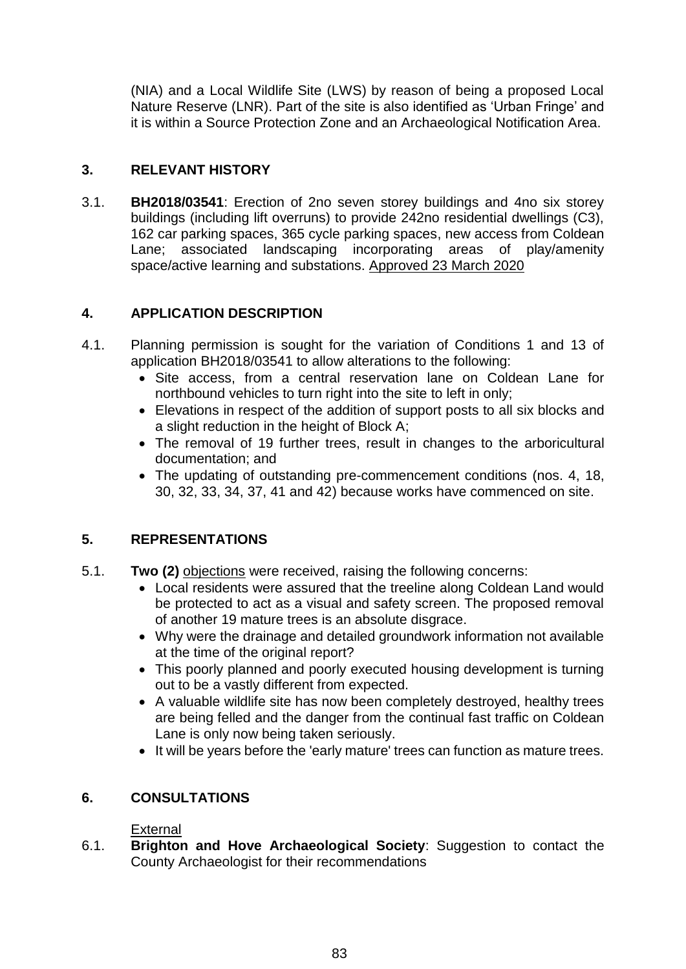(NIA) and a Local Wildlife Site (LWS) by reason of being a proposed Local Nature Reserve (LNR). Part of the site is also identified as 'Urban Fringe' and it is within a Source Protection Zone and an Archaeological Notification Area.

## **3. RELEVANT HISTORY**

3.1. **BH2018/03541**: Erection of 2no seven storey buildings and 4no six storey buildings (including lift overruns) to provide 242no residential dwellings (C3), 162 car parking spaces, 365 cycle parking spaces, new access from Coldean Lane; associated landscaping incorporating areas of play/amenity space/active learning and substations. Approved 23 March 2020

## **4. APPLICATION DESCRIPTION**

- 4.1. Planning permission is sought for the variation of Conditions 1 and 13 of application BH2018/03541 to allow alterations to the following:
	- Site access, from a central reservation lane on Coldean Lane for northbound vehicles to turn right into the site to left in only;
	- Elevations in respect of the addition of support posts to all six blocks and a slight reduction in the height of Block A;
	- The removal of 19 further trees, result in changes to the arboricultural documentation; and
	- The updating of outstanding pre-commencement conditions (nos. 4, 18, 30, 32, 33, 34, 37, 41 and 42) because works have commenced on site.

# **5. REPRESENTATIONS**

- 5.1. **Two (2)** objections were received, raising the following concerns:
	- Local residents were assured that the treeline along Coldean Land would be protected to act as a visual and safety screen. The proposed removal of another 19 mature trees is an absolute disgrace.
	- Why were the drainage and detailed groundwork information not available at the time of the original report?
	- This poorly planned and poorly executed housing development is turning out to be a vastly different from expected.
	- A valuable wildlife site has now been completely destroyed, healthy trees are being felled and the danger from the continual fast traffic on Coldean Lane is only now being taken seriously.
	- It will be years before the 'early mature' trees can function as mature trees.

## **6. CONSULTATIONS**

## **External**

6.1. **Brighton and Hove Archaeological Society**: Suggestion to contact the County Archaeologist for their recommendations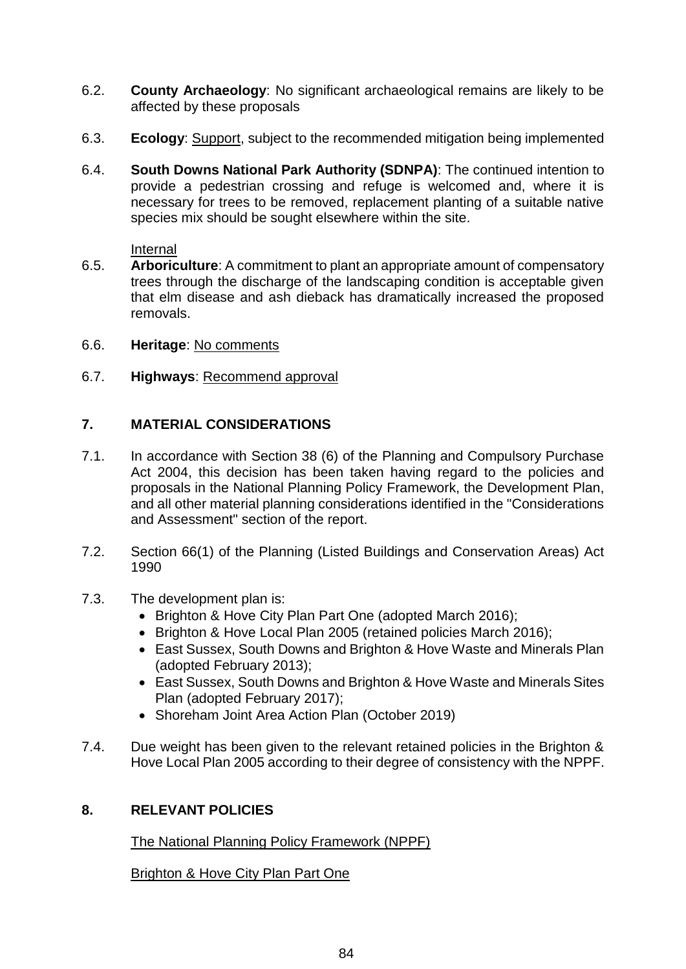- 6.2. **County Archaeology**: No significant archaeological remains are likely to be affected by these proposals
- 6.3. **Ecology**: Support, subject to the recommended mitigation being implemented
- 6.4. **South Downs National Park Authority (SDNPA)**: The continued intention to provide a pedestrian crossing and refuge is welcomed and, where it is necessary for trees to be removed, replacement planting of a suitable native species mix should be sought elsewhere within the site.

Internal

- 6.5. **Arboriculture**: A commitment to plant an appropriate amount of compensatory trees through the discharge of the landscaping condition is acceptable given that elm disease and ash dieback has dramatically increased the proposed removals.
- 6.6. **Heritage**: No comments
- 6.7. **Highways**: Recommend approval

## **7. MATERIAL CONSIDERATIONS**

- 7.1. In accordance with Section 38 (6) of the Planning and Compulsory Purchase Act 2004, this decision has been taken having regard to the policies and proposals in the National Planning Policy Framework, the Development Plan, and all other material planning considerations identified in the "Considerations and Assessment" section of the report.
- 7.2. Section 66(1) of the Planning (Listed Buildings and Conservation Areas) Act 1990
- 7.3. The development plan is:
	- Brighton & Hove City Plan Part One (adopted March 2016);
	- Brighton & Hove Local Plan 2005 (retained policies March 2016);
	- East Sussex, South Downs and Brighton & Hove Waste and Minerals Plan (adopted February 2013);
	- East Sussex, South Downs and Brighton & Hove Waste and Minerals Sites Plan (adopted February 2017);
	- Shoreham Joint Area Action Plan (October 2019)
- 7.4. Due weight has been given to the relevant retained policies in the Brighton & Hove Local Plan 2005 according to their degree of consistency with the NPPF.

## **8. RELEVANT POLICIES**

The National Planning Policy Framework (NPPF)

Brighton & Hove City Plan Part One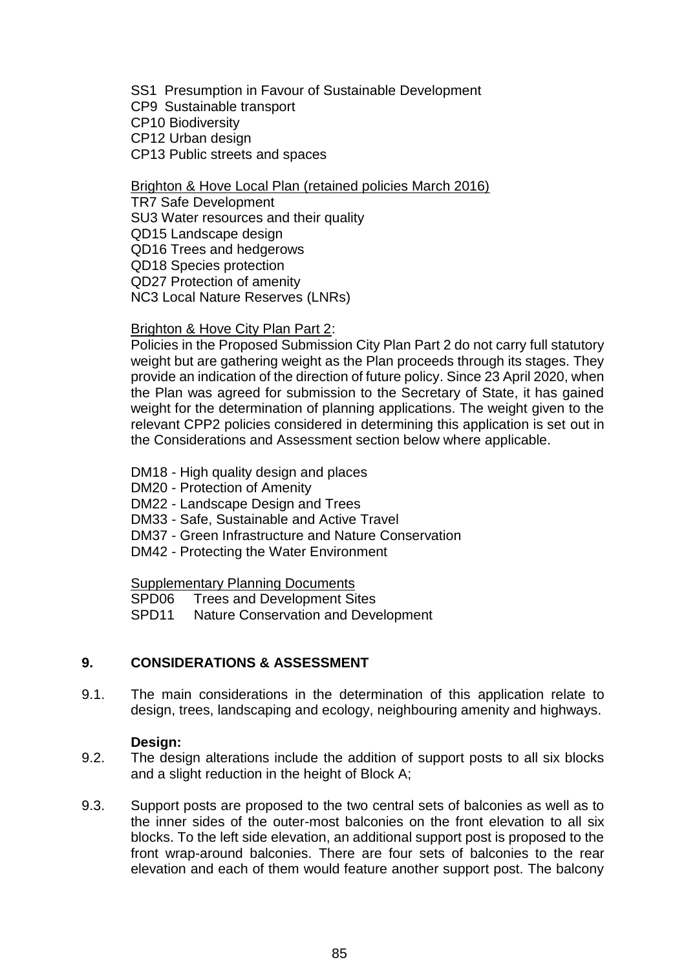SS1 Presumption in Favour of Sustainable Development CP9 Sustainable transport CP10 Biodiversity CP12 Urban design CP13 Public streets and spaces

Brighton & Hove Local Plan (retained policies March 2016)

TR7 Safe Development SU3 Water resources and their quality QD15 Landscape design QD16 Trees and hedgerows QD18 Species protection QD27 Protection of amenity NC3 Local Nature Reserves (LNRs)

#### Brighton & Hove City Plan Part 2:

Policies in the Proposed Submission City Plan Part 2 do not carry full statutory weight but are gathering weight as the Plan proceeds through its stages. They provide an indication of the direction of future policy. Since 23 April 2020, when the Plan was agreed for submission to the Secretary of State, it has gained weight for the determination of planning applications. The weight given to the relevant CPP2 policies considered in determining this application is set out in the Considerations and Assessment section below where applicable.

- DM18 High quality design and places
- DM20 Protection of Amenity
- DM22 Landscape Design and Trees
- DM33 Safe, Sustainable and Active Travel
- DM37 Green Infrastructure and Nature Conservation
- DM42 Protecting the Water Environment

Supplementary Planning Documents

SPD06 Trees and Development Sites

SPD11 Nature Conservation and Development

## **9. CONSIDERATIONS & ASSESSMENT**

9.1. The main considerations in the determination of this application relate to design, trees, landscaping and ecology, neighbouring amenity and highways.

## **Design:**

- 9.2. The design alterations include the addition of support posts to all six blocks and a slight reduction in the height of Block A;
- 9.3. Support posts are proposed to the two central sets of balconies as well as to the inner sides of the outer-most balconies on the front elevation to all six blocks. To the left side elevation, an additional support post is proposed to the front wrap-around balconies. There are four sets of balconies to the rear elevation and each of them would feature another support post. The balcony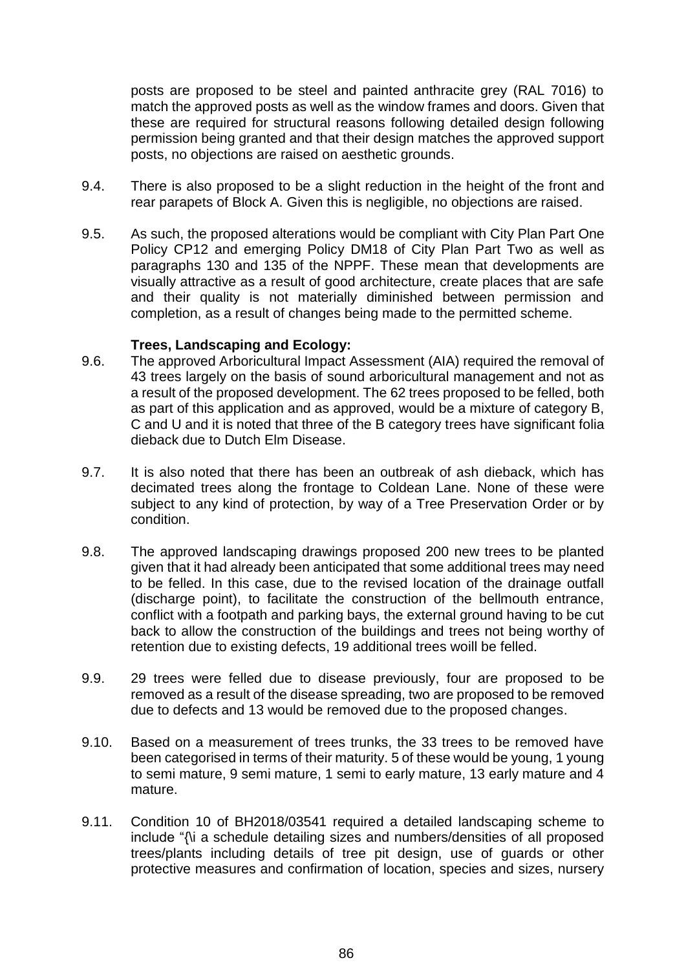posts are proposed to be steel and painted anthracite grey (RAL 7016) to match the approved posts as well as the window frames and doors. Given that these are required for structural reasons following detailed design following permission being granted and that their design matches the approved support posts, no objections are raised on aesthetic grounds.

- 9.4. There is also proposed to be a slight reduction in the height of the front and rear parapets of Block A. Given this is negligible, no objections are raised.
- 9.5. As such, the proposed alterations would be compliant with City Plan Part One Policy CP12 and emerging Policy DM18 of City Plan Part Two as well as paragraphs 130 and 135 of the NPPF. These mean that developments are visually attractive as a result of good architecture, create places that are safe and their quality is not materially diminished between permission and completion, as a result of changes being made to the permitted scheme.

#### **Trees, Landscaping and Ecology:**

- 9.6. The approved Arboricultural Impact Assessment (AIA) required the removal of 43 trees largely on the basis of sound arboricultural management and not as a result of the proposed development. The 62 trees proposed to be felled, both as part of this application and as approved, would be a mixture of category B, C and U and it is noted that three of the B category trees have significant folia dieback due to Dutch Elm Disease.
- 9.7. It is also noted that there has been an outbreak of ash dieback, which has decimated trees along the frontage to Coldean Lane. None of these were subject to any kind of protection, by way of a Tree Preservation Order or by condition.
- 9.8. The approved landscaping drawings proposed 200 new trees to be planted given that it had already been anticipated that some additional trees may need to be felled. In this case, due to the revised location of the drainage outfall (discharge point), to facilitate the construction of the bellmouth entrance, conflict with a footpath and parking bays, the external ground having to be cut back to allow the construction of the buildings and trees not being worthy of retention due to existing defects, 19 additional trees woill be felled.
- 9.9. 29 trees were felled due to disease previously, four are proposed to be removed as a result of the disease spreading, two are proposed to be removed due to defects and 13 would be removed due to the proposed changes.
- 9.10. Based on a measurement of trees trunks, the 33 trees to be removed have been categorised in terms of their maturity. 5 of these would be young, 1 young to semi mature, 9 semi mature, 1 semi to early mature, 13 early mature and 4 mature.
- 9.11. Condition 10 of BH2018/03541 required a detailed landscaping scheme to include "{\i a schedule detailing sizes and numbers/densities of all proposed trees/plants including details of tree pit design, use of guards or other protective measures and confirmation of location, species and sizes, nursery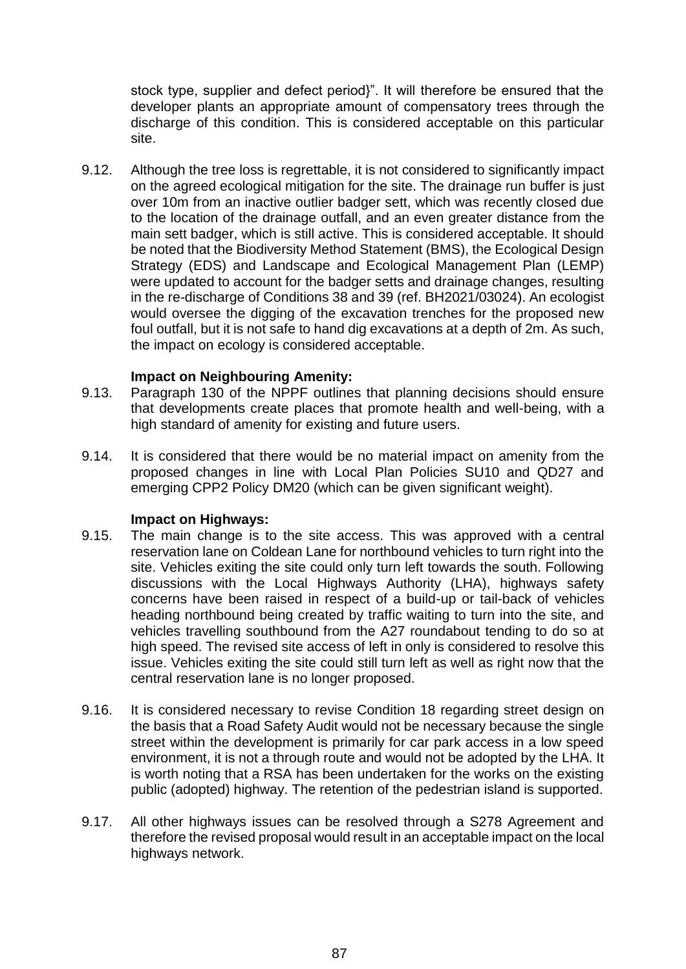stock type, supplier and defect period}". It will therefore be ensured that the developer plants an appropriate amount of compensatory trees through the discharge of this condition. This is considered acceptable on this particular site.

9.12. Although the tree loss is regrettable, it is not considered to significantly impact on the agreed ecological mitigation for the site. The drainage run buffer is just over 10m from an inactive outlier badger sett, which was recently closed due to the location of the drainage outfall, and an even greater distance from the main sett badger, which is still active. This is considered acceptable. It should be noted that the Biodiversity Method Statement (BMS), the Ecological Design Strategy (EDS) and Landscape and Ecological Management Plan (LEMP) were updated to account for the badger setts and drainage changes, resulting in the re-discharge of Conditions 38 and 39 (ref. BH2021/03024). An ecologist would oversee the digging of the excavation trenches for the proposed new foul outfall, but it is not safe to hand dig excavations at a depth of 2m. As such, the impact on ecology is considered acceptable.

## **Impact on Neighbouring Amenity:**

- 9.13. Paragraph 130 of the NPPF outlines that planning decisions should ensure that developments create places that promote health and well-being, with a high standard of amenity for existing and future users.
- 9.14. It is considered that there would be no material impact on amenity from the proposed changes in line with Local Plan Policies SU10 and QD27 and emerging CPP2 Policy DM20 (which can be given significant weight).

## **Impact on Highways:**

- 9.15. The main change is to the site access. This was approved with a central reservation lane on Coldean Lane for northbound vehicles to turn right into the site. Vehicles exiting the site could only turn left towards the south. Following discussions with the Local Highways Authority (LHA), highways safety concerns have been raised in respect of a build-up or tail-back of vehicles heading northbound being created by traffic waiting to turn into the site, and vehicles travelling southbound from the A27 roundabout tending to do so at high speed. The revised site access of left in only is considered to resolve this issue. Vehicles exiting the site could still turn left as well as right now that the central reservation lane is no longer proposed.
- 9.16. It is considered necessary to revise Condition 18 regarding street design on the basis that a Road Safety Audit would not be necessary because the single street within the development is primarily for car park access in a low speed environment, it is not a through route and would not be adopted by the LHA. It is worth noting that a RSA has been undertaken for the works on the existing public (adopted) highway. The retention of the pedestrian island is supported.
- 9.17. All other highways issues can be resolved through a S278 Agreement and therefore the revised proposal would result in an acceptable impact on the local highways network.